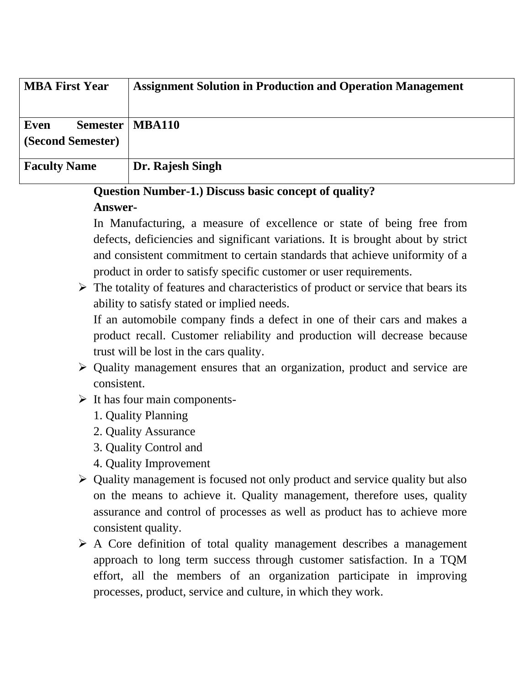| <b>MBA First Year</b>                        | <b>Assignment Solution in Production and Operation Management</b> |
|----------------------------------------------|-------------------------------------------------------------------|
| Even<br><b>Semester</b><br>(Second Semester) | <b>MBA110</b>                                                     |
| <b>Faculty Name</b>                          | Dr. Rajesh Singh                                                  |

# **Question Number-1.) Discuss basic concept of quality?**

### **Answer-**

In Manufacturing, a measure of excellence or state of being free from defects, deficiencies and significant variations. It is brought about by strict and consistent commitment to certain standards that achieve uniformity of a product in order to satisfy specific customer or user requirements.

➢ The totality of features and characteristics of product or service that bears its ability to satisfy stated or implied needs.

If an automobile company finds a defect in one of their cars and makes a product recall. Customer reliability and production will decrease because trust will be lost in the cars quality.

- ➢ Quality management ensures that an organization, product and service are consistent.
- $\triangleright$  It has four main components-
	- 1. Quality Planning
	- 2. Quality Assurance
	- 3. Quality Control and
	- 4. Quality Improvement
- ➢ Quality management is focused not only product and service quality but also on the means to achieve it. Quality management, therefore uses, quality assurance and control of processes as well as product has to achieve more consistent quality.
- ➢ A Core definition of total quality management describes a management approach to long term success through customer satisfaction. In a TQM effort, all the members of an organization participate in improving processes, product, service and culture, in which they work.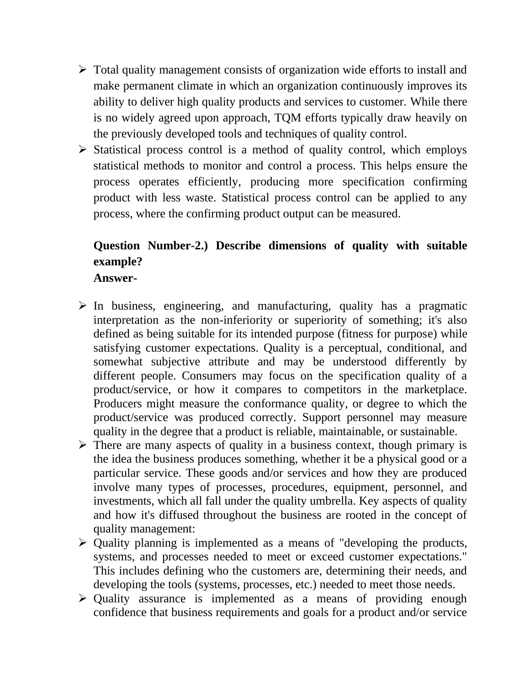- ➢ Total quality management consists of organization wide efforts to install and make permanent climate in which an organization continuously improves its ability to deliver high quality products and services to customer. While there is no widely agreed upon approach, TQM efforts typically draw heavily on the previously developed tools and techniques of quality control.
- ➢ Statistical process control is a method of quality control, which employs statistical methods to monitor and control a process. This helps ensure the process operates efficiently, producing more specification confirming product with less waste. Statistical process control can be applied to any process, where the confirming product output can be measured.

# **Question Number-2.) Describe dimensions of quality with suitable example?**

**Answer-**

- $\triangleright$  In business, engineering, and manufacturing, quality has a pragmatic interpretation as the non-inferiority or superiority of something; it's also defined as being suitable for its intended purpose (fitness for purpose) while satisfying customer expectations. Quality is a perceptual, conditional, and somewhat subjective attribute and may be understood differently by different people. Consumers may focus on the specification quality of a product/service, or how it compares to competitors in the marketplace. Producers might measure the conformance quality, or degree to which the product/service was produced correctly. Support personnel may measure quality in the degree that a product is reliable, maintainable, or sustainable.
- ➢ There are many aspects of quality in a business context, though primary is the idea the business produces something, whether it be a physical good or a particular service. These goods and/or services and how they are produced involve many types of processes, procedures, equipment, personnel, and investments, which all fall under the quality umbrella. Key aspects of quality and how it's diffused throughout the business are rooted in the concept of quality management:
- ➢ Quality planning is implemented as a means of "developing the products, systems, and processes needed to meet or exceed customer expectations." This includes defining who the customers are, determining their needs, and developing the tools (systems, processes, etc.) needed to meet those needs.
- ➢ Quality assurance is implemented as a means of providing enough confidence that business requirements and goals for a product and/or service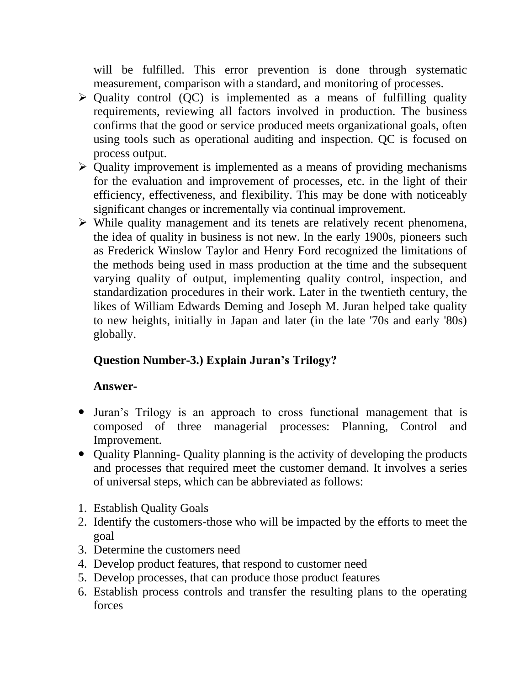will be fulfilled. This error prevention is done through systematic measurement, comparison with a standard, and monitoring of processes.

- $\triangleright$  Quality control (QC) is implemented as a means of fulfilling quality requirements, reviewing all factors involved in production. The business confirms that the good or service produced meets organizational goals, often using tools such as operational auditing and inspection. QC is focused on process output.
- ➢ Quality improvement is implemented as a means of providing mechanisms for the evaluation and improvement of processes, etc. in the light of their efficiency, effectiveness, and flexibility. This may be done with noticeably significant changes or incrementally via continual improvement.
- ➢ While quality management and its tenets are relatively recent phenomena, the idea of quality in business is not new. In the early 1900s, pioneers such as Frederick Winslow Taylor and Henry Ford recognized the limitations of the methods being used in mass production at the time and the subsequent varying quality of output, implementing quality control, inspection, and standardization procedures in their work. Later in the twentieth century, the likes of William Edwards Deming and Joseph M. Juran helped take quality to new heights, initially in Japan and later (in the late '70s and early '80s) globally.

## **Question Number-3.) Explain Juran's Trilogy?**

#### **Answer-**

- Juran's Trilogy is an approach to cross functional management that is composed of three managerial processes: Planning, Control and Improvement.
- Quality Planning- Quality planning is the activity of developing the products and processes that required meet the customer demand. It involves a series of universal steps, which can be abbreviated as follows:
- 1. Establish Quality Goals
- 2. Identify the customers-those who will be impacted by the efforts to meet the goal
- 3. Determine the customers need
- 4. Develop product features, that respond to customer need
- 5. Develop processes, that can produce those product features
- 6. Establish process controls and transfer the resulting plans to the operating forces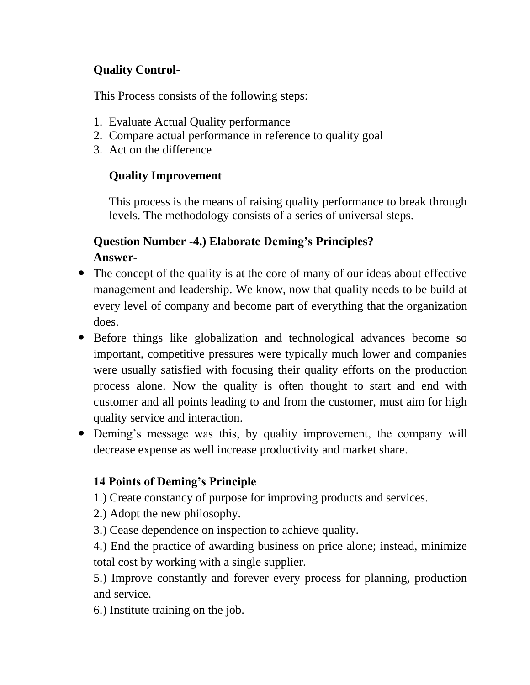## **Quality Control-**

This Process consists of the following steps:

- 1. Evaluate Actual Quality performance
- 2. Compare actual performance in reference to quality goal
- 3. Act on the difference

### **Quality Improvement**

This process is the means of raising quality performance to break through levels. The methodology consists of a series of universal steps.

## **Question Number -4.) Elaborate Deming's Principles? Answer-**

- The concept of the quality is at the core of many of our ideas about effective management and leadership. We know, now that quality needs to be build at every level of company and become part of everything that the organization does.
- Before things like globalization and technological advances become so important, competitive pressures were typically much lower and companies were usually satisfied with focusing their quality efforts on the production process alone. Now the quality is often thought to start and end with customer and all points leading to and from the customer, must aim for high quality service and interaction.
- Deming's message was this, by quality improvement, the company will decrease expense as well increase productivity and market share.

## **14 Points of Deming's Principle**

1.) Create constancy of purpose for improving products and services.

- 2.) Adopt the new philosophy.
- 3.) Cease dependence on inspection to achieve quality.

4.) End the practice of awarding business on price alone; instead, minimize total cost by working with a single supplier.

5.) Improve constantly and forever every process for planning, production and service.

6.) Institute training on the job.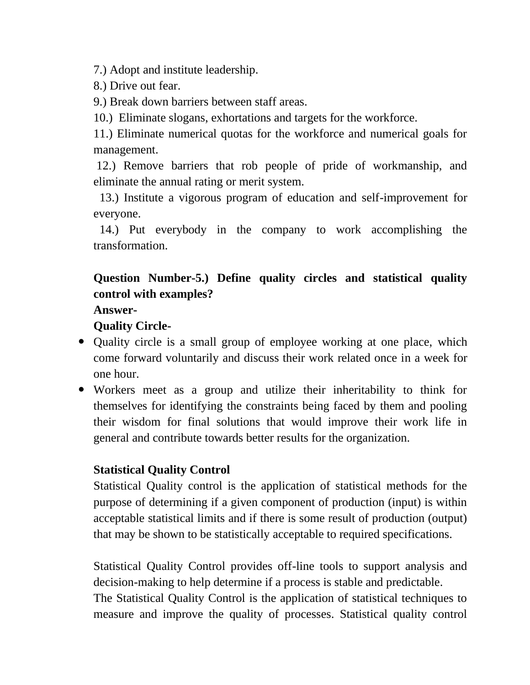7.) Adopt and institute leadership.

8.) Drive out fear.

9.) Break down barriers between staff areas.

10.) Eliminate slogans, exhortations and targets for the workforce.

11.) Eliminate numerical quotas for the workforce and numerical goals for management.

12.) Remove barriers that rob people of pride of workmanship, and eliminate the annual rating or merit system.

 13.) Institute a vigorous program of education and self-improvement for everyone.

 14.) Put everybody in the company to work accomplishing the transformation.

# **Question Number-5.) Define quality circles and statistical quality control with examples?**

**Answer-**

### **Quality Circle-**

- Quality circle is a small group of employee working at one place, which come forward voluntarily and discuss their work related once in a week for one hour.
- Workers meet as a group and utilize their inheritability to think for themselves for identifying the constraints being faced by them and pooling their wisdom for final solutions that would improve their work life in general and contribute towards better results for the organization.

### **Statistical Quality Control**

Statistical Quality control is the application of statistical methods for the purpose of determining if a given component of production (input) is within acceptable statistical limits and if there is some result of production (output) that may be shown to be statistically acceptable to required specifications.

Statistical Quality Control provides off-line tools to support analysis and decision-making to help determine if a process is stable and predictable. The Statistical Quality Control is the application of statistical techniques to measure and improve the quality of processes. Statistical quality control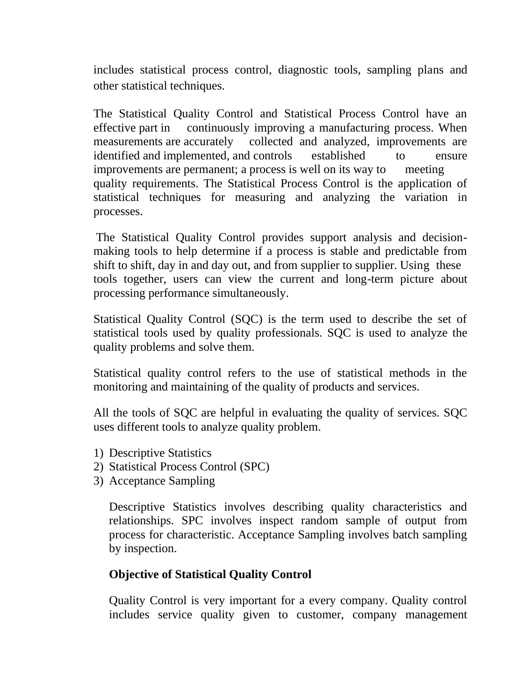includes statistical process control, diagnostic tools, sampling plans and other statistical techniques.

The Statistical Quality Control and Statistical Process Control have an effective part in continuously improving a manufacturing process. When measurements are accurately collected and analyzed, improvements are identified and implemented, and controls established to ensure improvements are permanent; a process is well on its way to meeting quality requirements. The Statistical Process Control is the application of statistical techniques for measuring and analyzing the variation in processes.

The Statistical Quality Control provides support analysis and decisionmaking tools to help determine if a process is stable and predictable from shift to shift, day in and day out, and from supplier to supplier. Using these tools together, users can view the current and long-term picture about processing performance simultaneously.

Statistical Quality Control (SQC) is the term used to describe the set of statistical tools used by quality professionals. SQC is used to analyze the quality problems and solve them.

Statistical quality control refers to the use of statistical methods in the monitoring and maintaining of the quality of products and services.

All the tools of SQC are helpful in evaluating the quality of services. SQC uses different tools to analyze quality problem.

- 1) Descriptive Statistics
- 2) Statistical Process Control (SPC)
- 3) Acceptance Sampling

Descriptive Statistics involves describing quality characteristics and relationships. SPC involves inspect random sample of output from process for characteristic. Acceptance Sampling involves batch sampling by inspection.

#### **Objective of Statistical Quality Control**

Quality Control is very important for a every company. Quality control includes service quality given to customer, company management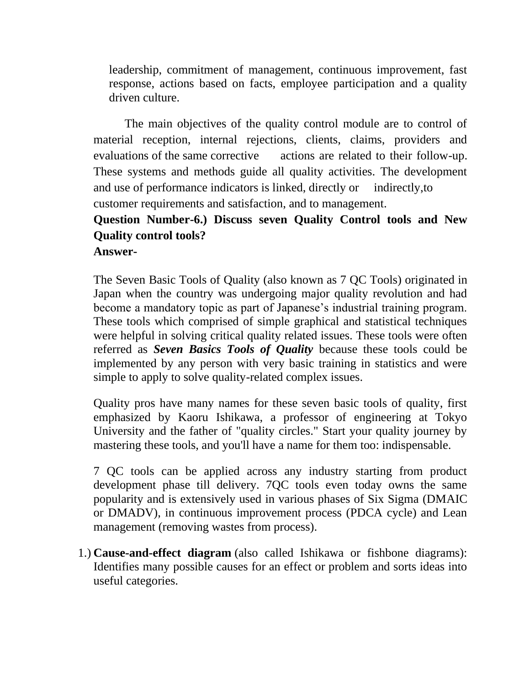leadership, commitment of management, continuous improvement, fast response, actions based on facts, employee participation and a quality driven culture.

The main objectives of the quality control module are to control of material reception, internal rejections, clients, claims, providers and evaluations of the same corrective actions are related to their follow-up. These systems and methods guide all quality activities. The development and use of performance indicators is linked, directly or indirectly,to customer requirements and satisfaction, and to management.

# **Question Number-6.) Discuss seven Quality Control tools and New Quality control tools?**

**Answer-**

The Seven Basic Tools of Quality (also known as 7 QC Tools) originated in Japan when the country was undergoing major quality revolution and had become a mandatory topic as part of Japanese's industrial training program. These tools which comprised of simple graphical and statistical techniques were helpful in solving critical quality related issues. These tools were often referred as *Seven Basics Tools of Quality* because these tools could be implemented by any person with very basic training in statistics and were simple to apply to solve quality-related complex issues.

Quality pros have many names for these seven basic tools of quality, first emphasized by Kaoru Ishikawa, a professor of engineering at Tokyo University and the father of "quality circles." Start your quality journey by mastering these tools, and you'll have a name for them too: indispensable.

7 QC tools can be applied across any industry starting from product development phase till delivery. 7QC tools even today owns the same popularity and is extensively used in various phases of Six Sigma (DMAIC or DMADV), in continuous improvement process (PDCA cycle) and Lean management (removing wastes from process).

1.) **[Cause-and-effect diagram](https://asq.org/quality-resources/fishbone)** (also called Ishikawa or fishbone diagrams): Identifies many possible causes for an effect or problem and sorts ideas into useful categories.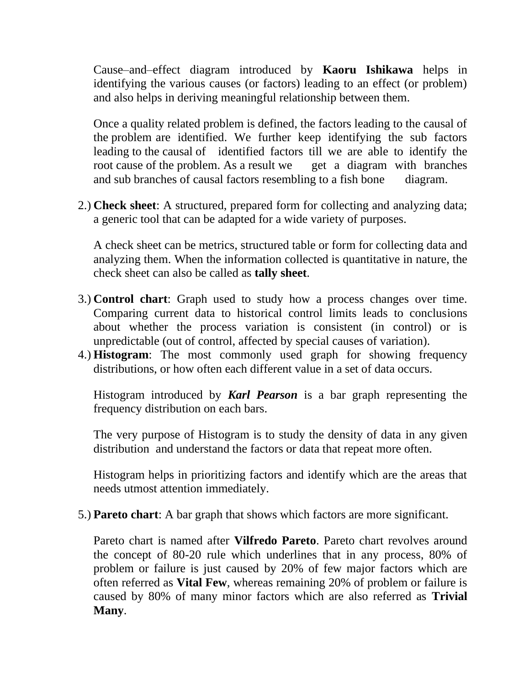Cause–and–effect diagram introduced by **Kaoru Ishikawa** helps in identifying the various causes (or factors) leading to an effect (or problem) and also helps in deriving meaningful relationship between them.

Once a quality related problem is defined, the factors leading to the causal of the problem are identified. We further keep identifying the sub factors leading to the causal of identified factors till we are able to identify the root cause of the problem. As a result we get a diagram with branches and sub branches of causal factors resembling to a fish bone diagram.

2.) **[Check sheet](https://asq.org/quality-resources/check-sheet)**: A structured, prepared form for collecting and analyzing data; a generic tool that can be adapted for a wide variety of purposes.

A check sheet can be metrics, structured table or form for collecting data and analyzing them. When the information collected is quantitative in nature, the check sheet can also be called as **tally sheet**.

- 3.) **[Control chart](https://asq.org/quality-resources/control-chart)**: Graph used to study how a process changes over time. Comparing current data to historical control limits leads to conclusions about whether the process variation is consistent (in control) or is unpredictable (out of control, affected by special causes of variation).
- 4.) **[Histogram](https://asq.org/quality-resources/histogram)**: The most commonly used graph for showing frequency distributions, or how often each different value in a set of data occurs.

Histogram introduced by *Karl Pearson* is a bar graph representing the frequency distribution on each bars.

The very purpose of Histogram is to study the density of data in any given distribution and understand the factors or data that repeat more often.

Histogram helps in prioritizing factors and identify which are the areas that needs utmost attention immediately.

5.) **[Pareto chart](https://asq.org/quality-resources/pareto)**: A bar graph that shows which factors are more significant.

Pareto chart is named after **Vilfredo Pareto**. Pareto chart revolves around the concept of 80-20 rule which underlines that in any process, 80% of problem or failure is just caused by 20% of few major factors which are often referred as **Vital Few**, whereas remaining 20% of problem or failure is caused by 80% of many minor factors which are also referred as **Trivial Many**.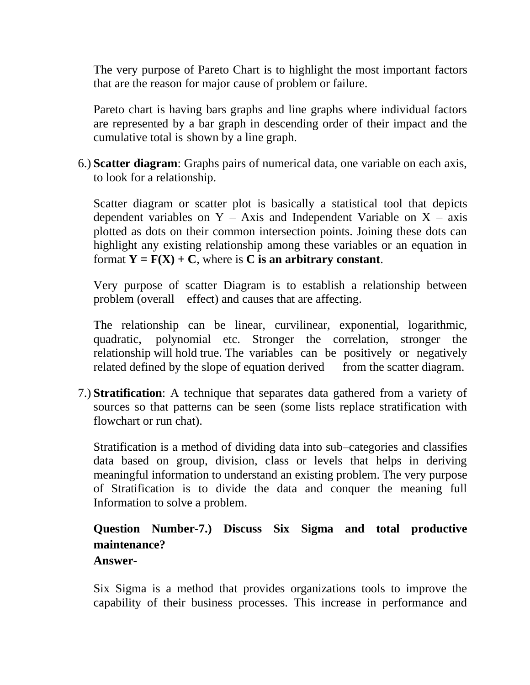The very purpose of Pareto Chart is to highlight the most important factors that are the reason for major cause of problem or failure.

Pareto chart is having bars graphs and line graphs where individual factors are represented by a bar graph in descending order of their impact and the cumulative total is shown by a line graph.

6.) **[Scatter diagram](https://asq.org/quality-resources/scatter-diagram)**: Graphs pairs of numerical data, one variable on each axis, to look for a relationship.

Scatter diagram or scatter plot is basically a statistical tool that depicts dependent variables on  $Y - Axi$  and Independent Variable on  $X - axis$ plotted as dots on their common intersection points. Joining these dots can highlight any existing relationship among these variables or an equation in format  $Y = F(X) + C$ , where is C is an arbitrary constant.

Very purpose of scatter Diagram is to establish a relationship between problem (overall effect) and causes that are affecting.

The relationship can be linear, curvilinear, exponential, logarithmic, quadratic, polynomial etc. Stronger the correlation, stronger the relationship will hold true. The variables can be positively or negatively related defined by the slope of equation derived from the scatter diagram.

7.) **[Stratification](https://asq.org/quality-resources/stratification)**: A technique that separates data gathered from a variety of sources so that patterns can be seen (some lists replace stratification with flowchart or run chat).

Stratification is a method of dividing data into sub–categories and classifies data based on group, division, class or levels that helps in deriving meaningful information to understand an existing problem. The very purpose of Stratification is to divide the data and conquer the meaning full Information to solve a problem.

# **Question Number-7.) Discuss Six Sigma and total productive maintenance?**

#### **Answer-**

Six Sigma is a method that provides organizations tools to improve the capability of their business processes. This increase in performance and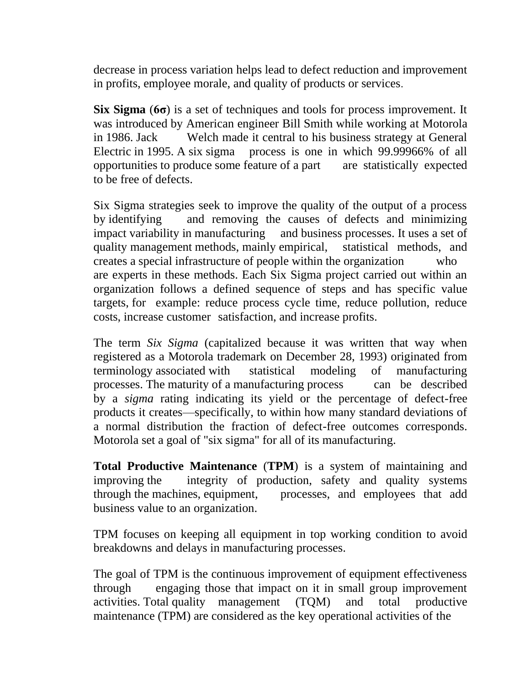decrease in process variation helps lead to defect reduction and improvement in profits, employee morale, and quality of products or services.

**Six Sigma** (**6σ**) is a set of techniques and tools for process improvement. It was introduced by American engineer Bill Smith while working at Motorola in 1986. Jack Welch made it central to his business strategy at General Electric in 1995. A six sigma process is one in which 99.99966% of all opportunities to produce some feature of a part are statistically expected to be free of defects.

Six Sigma strategies seek to improve the quality of the output of a process by identifying and removing the causes of defects and minimizing impact variability in manufacturing and business processes. It uses a set of quality management methods, mainly empirical, statistical methods, and creates a special infrastructure of people within the organization who are experts in these methods. Each Six Sigma project carried out within an organization follows a defined sequence of steps and has specific value targets, for example: reduce process cycle time, reduce pollution, reduce costs, increase customer satisfaction, and increase profits.

The term *Six Sigma* (capitalized because it was written that way when registered as a Motorola trademark on December 28, 1993) originated from terminology associated with statistical modeling of manufacturing processes. The maturity of a manufacturing process can be described by a *sigma* rating indicating its yield or the percentage of defect-free products it creates—specifically, to within how many standard deviations of a normal distribution the fraction of defect-free outcomes corresponds. Motorola set a goal of "six sigma" for all of its manufacturing.

**Total Productive Maintenance** (**TPM**) is a system of maintaining and improving the integrity of production, safety and quality systems through the machines, equipment, processes, and employees that add business value to an organization.

TPM focuses on keeping all equipment in top working condition to avoid breakdowns and delays in manufacturing processes.

The goal of TPM is the continuous improvement of equipment effectiveness through engaging those that impact on it in small group improvement activities. Total quality management (TQM) and total productive maintenance (TPM) are considered as the key operational activities of the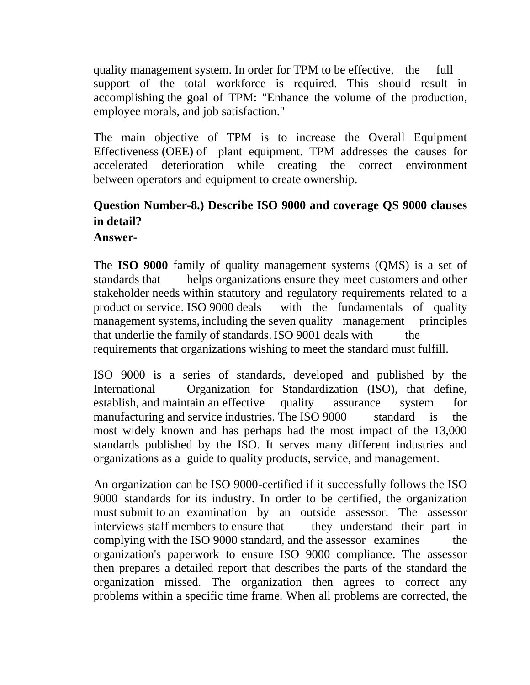quality management system. In order for TPM to be effective, the full support of the total workforce is required. This should result in accomplishing the goal of TPM: "Enhance the volume of the production, employee morals, and job satisfaction."

The main objective of TPM is to increase the Overall Equipment Effectiveness (OEE) of plant equipment. TPM addresses the causes for accelerated deterioration while creating the correct environment between operators and equipment to create ownership.

# **Question Number-8.) Describe ISO 9000 and coverage QS 9000 clauses in detail?**

### **Answer-**

The **ISO 9000** family of quality management systems (QMS) is a set of standards that helps organizations ensure they meet customers and other stakeholder needs within statutory and regulatory requirements related to a product or service. ISO 9000 deals with the fundamentals of quality management systems, including the seven quality management principles that underlie the family of standards. ISO 9001 deals with the requirements that organizations wishing to meet the standard must fulfill.

ISO 9000 is a series of standards, developed and published by the International Organization for Standardization (ISO), that define, establish, and maintain an effective quality assurance system for manufacturing and service industries. The ISO 9000 standard is the most widely known and has perhaps had the most impact of the 13,000 standards published by the ISO. It serves many different industries and organizations as a guide to quality products, service, and management.

An organization can be ISO 9000-certified if it successfully follows the ISO 9000 standards for its industry. In order to be certified, the organization must submit to an examination by an outside assessor. The assessor interviews staff members to ensure that they understand their part in complying with the ISO 9000 standard, and the assessor examines the organization's paperwork to ensure ISO 9000 compliance. The assessor then prepares a detailed report that describes the parts of the standard the organization missed. The organization then agrees to correct any problems within a specific time frame. When all problems are corrected, the